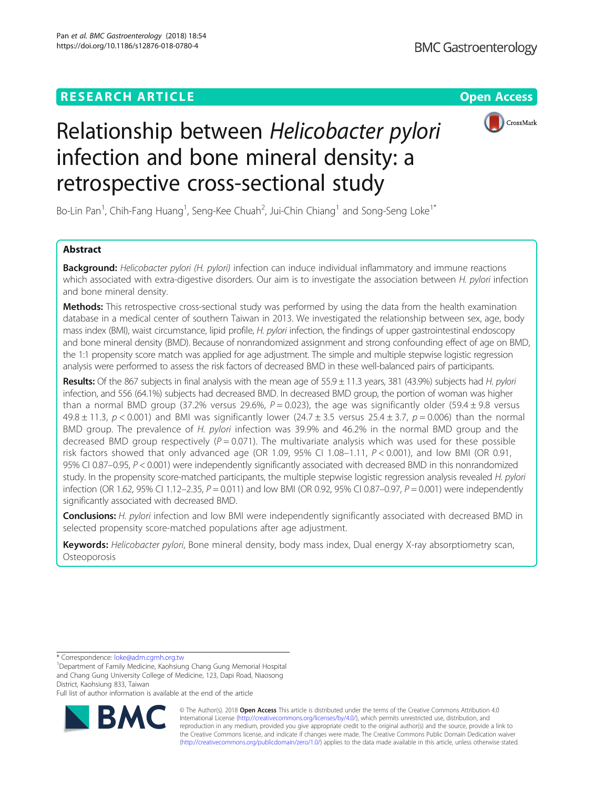## **RESEARCH ARTICLE Example 2014 12:30 The Contract of Contract ACCESS**



# Relationship between Helicobacter pylori infection and bone mineral density: a retrospective cross-sectional study

Bo-Lin Pan<sup>1</sup>, Chih-Fang Huang<sup>1</sup>, Seng-Kee Chuah<sup>2</sup>, Jui-Chin Chiang<sup>1</sup> and Song-Seng Loke<sup>1\*</sup>

## Abstract

Background: Helicobacter pylori (H. pylori) infection can induce individual inflammatory and immune reactions which associated with extra-digestive disorders. Our aim is to investigate the association between H. pylori infection and bone mineral density.

**Methods:** This retrospective cross-sectional study was performed by using the data from the health examination database in a medical center of southern Taiwan in 2013. We investigated the relationship between sex, age, body mass index (BMI), waist circumstance, lipid profile, H. pylori infection, the findings of upper gastrointestinal endoscopy and bone mineral density (BMD). Because of nonrandomized assignment and strong confounding effect of age on BMD, the 1:1 propensity score match was applied for age adjustment. The simple and multiple stepwise logistic regression analysis were performed to assess the risk factors of decreased BMD in these well-balanced pairs of participants.

Results: Of the 867 subjects in final analysis with the mean age of 55.9 ± 11.3 years, 381 (43.9%) subjects had H. pylori infection, and 556 (64.1%) subjects had decreased BMD. In decreased BMD group, the portion of woman was higher than a normal BMD group (37.2% versus 29.6%,  $P = 0.023$ ), the age was significantly older (59.4 ± 9.8 versus 49.8  $\pm$  11.3, p < 0.001) and BMI was significantly lower (24.7  $\pm$  3.5 versus 25.4  $\pm$  3.7, p = 0.006) than the normal BMD group. The prevalence of H. pylori infection was 39.9% and 46.2% in the normal BMD group and the decreased BMD group respectively ( $P = 0.071$ ). The multivariate analysis which was used for these possible risk factors showed that only advanced age (OR 1.09, 95% CI 1.08–1.11,  $P < 0.001$ ), and low BMI (OR 0.91, 95% CI 0.87–0.95, P < 0.001) were independently significantly associated with decreased BMD in this nonrandomized study. In the propensity score-matched participants, the multiple stepwise logistic regression analysis revealed H. pylori infection (OR 1.62, 95% CI 1.12–2.35,  $P = 0.011$ ) and low BMI (OR 0.92, 95% CI 0.87–0.97,  $P = 0.001$ ) were independently significantly associated with decreased BMD.

Conclusions: H. pylori infection and low BMI were independently significantly associated with decreased BMD in selected propensity score-matched populations after age adjustment.

Keywords: Helicobacter pylori, Bone mineral density, body mass index, Dual energy X-ray absorptiometry scan, **Osteoporosis** 

\* Correspondence: [loke@adm.cgmh.org.tw](mailto:loke@adm.cgmh.org.tw) <sup>1</sup>

Full list of author information is available at the end of the article



© The Author(s). 2018 Open Access This article is distributed under the terms of the Creative Commons Attribution 4.0 International License [\(http://creativecommons.org/licenses/by/4.0/](http://creativecommons.org/licenses/by/4.0/)), which permits unrestricted use, distribution, and reproduction in any medium, provided you give appropriate credit to the original author(s) and the source, provide a link to the Creative Commons license, and indicate if changes were made. The Creative Commons Public Domain Dedication waiver [\(http://creativecommons.org/publicdomain/zero/1.0/](http://creativecommons.org/publicdomain/zero/1.0/)) applies to the data made available in this article, unless otherwise stated.

<sup>&</sup>lt;sup>1</sup>Department of Family Medicine, Kaohsiung Chang Gung Memorial Hospital and Chang Gung University College of Medicine, 123, Dapi Road, Niaosong District, Kaohsiung 833, Taiwan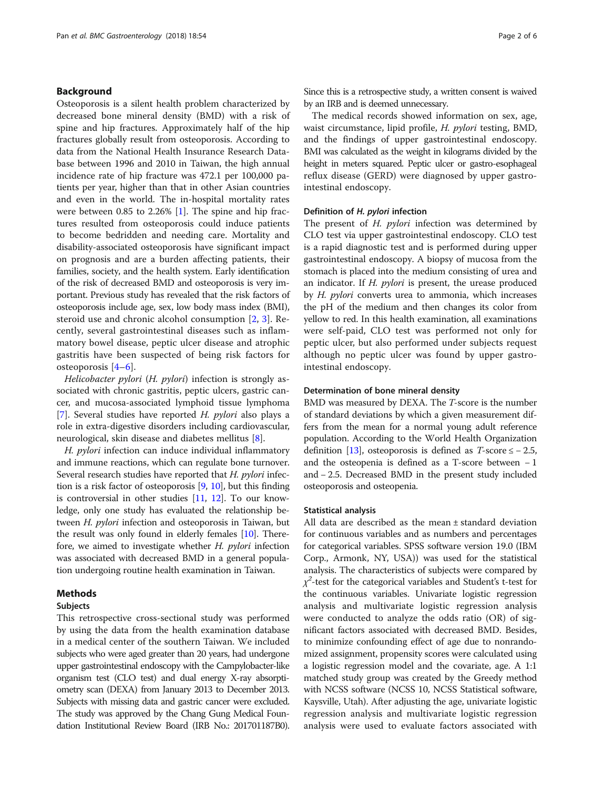## Background

Osteoporosis is a silent health problem characterized by decreased bone mineral density (BMD) with a risk of spine and hip fractures. Approximately half of the hip fractures globally result from osteoporosis. According to data from the National Health Insurance Research Database between 1996 and 2010 in Taiwan, the high annual incidence rate of hip fracture was 472.1 per 100,000 patients per year, higher than that in other Asian countries and even in the world. The in-hospital mortality rates were between 0.85 to 2.26% [[1\]](#page-5-0). The spine and hip fractures resulted from osteoporosis could induce patients to become bedridden and needing care. Mortality and disability-associated osteoporosis have significant impact on prognosis and are a burden affecting patients, their families, society, and the health system. Early identification of the risk of decreased BMD and osteoporosis is very important. Previous study has revealed that the risk factors of osteoporosis include age, sex, low body mass index (BMI), steroid use and chronic alcohol consumption [\[2](#page-5-0), [3\]](#page-5-0). Recently, several gastrointestinal diseases such as inflammatory bowel disease, peptic ulcer disease and atrophic gastritis have been suspected of being risk factors for osteoporosis  $[4-6]$  $[4-6]$  $[4-6]$  $[4-6]$ .

Helicobacter pylori (H. pylori) infection is strongly associated with chronic gastritis, peptic ulcers, gastric cancer, and mucosa-associated lymphoid tissue lymphoma [[7\]](#page-5-0). Several studies have reported H. pylori also plays a role in extra-digestive disorders including cardiovascular, neurological, skin disease and diabetes mellitus [[8\]](#page-5-0).

H. *pylori* infection can induce individual inflammatory and immune reactions, which can regulate bone turnover. Several research studies have reported that H. pylori infection is a risk factor of osteoporosis  $[9, 10]$  $[9, 10]$  $[9, 10]$ , but this finding is controversial in other studies  $[11, 12]$  $[11, 12]$  $[11, 12]$  $[11, 12]$ . To our knowledge, only one study has evaluated the relationship between H. pylori infection and osteoporosis in Taiwan, but the result was only found in elderly females [[10](#page-5-0)]. Therefore, we aimed to investigate whether H. pylori infection was associated with decreased BMD in a general population undergoing routine health examination in Taiwan.

## Methods

## Subjects

This retrospective cross-sectional study was performed by using the data from the health examination database in a medical center of the southern Taiwan. We included subjects who were aged greater than 20 years, had undergone upper gastrointestinal endoscopy with the Campylobacter-like organism test (CLO test) and dual energy X-ray absorptiometry scan (DEXA) from January 2013 to December 2013. Subjects with missing data and gastric cancer were excluded. The study was approved by the Chang Gung Medical Foundation Institutional Review Board (IRB No.: 201701187B0). Since this is a retrospective study, a written consent is waived by an IRB and is deemed unnecessary.

The medical records showed information on sex, age, waist circumstance, lipid profile, H. pylori testing, BMD, and the findings of upper gastrointestinal endoscopy. BMI was calculated as the weight in kilograms divided by the height in meters squared. Peptic ulcer or gastro-esophageal reflux disease (GERD) were diagnosed by upper gastrointestinal endoscopy.

### Definition of H. pylori infection

The present of *H. pylori* infection was determined by CLO test via upper gastrointestinal endoscopy. CLO test is a rapid diagnostic test and is performed during upper gastrointestinal endoscopy. A biopsy of mucosa from the stomach is placed into the medium consisting of urea and an indicator. If *H. pylori* is present, the urease produced by H. pylori converts urea to ammonia, which increases the pH of the medium and then changes its color from yellow to red. In this health examination, all examinations were self-paid, CLO test was performed not only for peptic ulcer, but also performed under subjects request although no peptic ulcer was found by upper gastrointestinal endoscopy.

#### Determination of bone mineral density

BMD was measured by DEXA. The T-score is the number of standard deviations by which a given measurement differs from the mean for a normal young adult reference population. According to the World Health Organization definition [\[13\]](#page-5-0), osteoporosis is defined as  $T\text{-score} \le -2.5$ , and the osteopenia is defined as a T-score between − 1 and − 2.5. Decreased BMD in the present study included osteoporosis and osteopenia.

## Statistical analysis

All data are described as the mean ± standard deviation for continuous variables and as numbers and percentages for categorical variables. SPSS software version 19.0 (IBM Corp., Armonk, NY, USA)) was used for the statistical analysis. The characteristics of subjects were compared by  $\chi^2$ -test for the categorical variables and Student's t-test for the continuous variables. Univariate logistic regression analysis and multivariate logistic regression analysis were conducted to analyze the odds ratio (OR) of significant factors associated with decreased BMD. Besides, to minimize confounding effect of age due to nonrandomized assignment, propensity scores were calculated using a logistic regression model and the covariate, age. A 1:1 matched study group was created by the Greedy method with NCSS software (NCSS 10, NCSS Statistical software, Kaysville, Utah). After adjusting the age, univariate logistic regression analysis and multivariate logistic regression analysis were used to evaluate factors associated with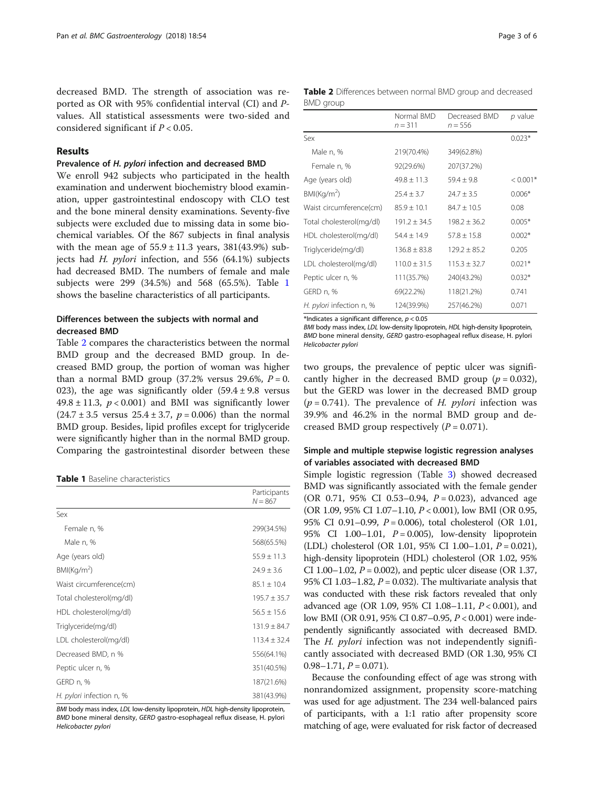decreased BMD. The strength of association was reported as OR with 95% confidential interval (CI) and Pvalues. All statistical assessments were two-sided and considered significant if  $P < 0.05$ .

## Results

## Prevalence of H. pylori infection and decreased BMD

We enroll 942 subjects who participated in the health examination and underwent biochemistry blood examination, upper gastrointestinal endoscopy with CLO test and the bone mineral density examinations. Seventy-five subjects were excluded due to missing data in some biochemical variables. Of the 867 subjects in final analysis with the mean age of  $55.9 \pm 11.3$  years,  $381(43.9%)$  subjects had H. pylori infection, and 556 (64.1%) subjects had decreased BMD. The numbers of female and male subjects were 299 (34.5%) and 568 (65.5%). Table 1 shows the baseline characteristics of all participants.

## Differences between the subjects with normal and decreased BMD

Table 2 compares the characteristics between the normal BMD group and the decreased BMD group. In decreased BMD group, the portion of woman was higher than a normal BMD group  $(37.2\% \text{ versus } 29.6\%, P = 0.$ 023), the age was significantly older  $(59.4 \pm 9.8 \text{ versus}$  $49.8 \pm 11.3$ ,  $p < 0.001$ ) and BMI was significantly lower  $(24.7 \pm 3.5 \text{ versus } 25.4 \pm 3.7, p = 0.006)$  than the normal BMD group. Besides, lipid profiles except for triglyceride were significantly higher than in the normal BMD group. Comparing the gastrointestinal disorder between these

Table 1 Baseline characteristics

|                          | Participants<br>$N = 867$ |
|--------------------------|---------------------------|
| Sex                      |                           |
| Female n, %              | 299(34.5%)                |
| Male n, %                | 568(65.5%)                |
| Age (years old)          | $55.9 \pm 11.3$           |
| BM(Kq/m <sup>2</sup> )   | $24.9 \pm 3.6$            |
| Waist circumference(cm)  | $85.1 \pm 10.4$           |
| Total cholesterol(mg/dl) | $195.7 \pm 35.7$          |
| HDL cholesterol(mg/dl)   | $56.5 \pm 15.6$           |
| Triglyceride(mg/dl)      | $131.9 \pm 84.7$          |
| LDL cholesterol(mg/dl)   | $113.4 \pm 32.4$          |
| Decreased BMD, n %       | 556(64.1%)                |
| Peptic ulcer n, %        | 351(40.5%)                |
| GERD n, %                | 187(21.6%)                |
| H. pylori infection n, % | 381(43.9%)                |

BMI body mass index, LDL low-density lipoprotein, HDL high-density lipoprotein, BMD bone mineral density, GERD gastro-esophageal reflux disease, H. pylori Helicobacter pylori

| Page 3 of 6 |  |  |  |
|-------------|--|--|--|
|-------------|--|--|--|

| <b>Table 2</b> Differences between normal BMD group and decreased |  |  |  |  |
|-------------------------------------------------------------------|--|--|--|--|
| BMD group                                                         |  |  |  |  |

|                                 | Normal BMD<br>$n = 311$ | Decreased BMD<br>$n = 556$ | p value    |
|---------------------------------|-------------------------|----------------------------|------------|
| Sex                             |                         |                            | $0.023*$   |
| Male n, %                       | 219(70.4%)              | 349(62.8%)                 |            |
| Female n, %                     | 92(29.6%)               | 207(37.2%)                 |            |
| Age (years old)                 | $49.8 \pm 11.3$         | $59.4 \pm 9.8$             | $< 0.001*$ |
| BM(Kq/m <sup>2</sup> )          | $25.4 \pm 3.7$          | $24.7 \pm 3.5$             | $0.006*$   |
| Waist circumference(cm)         | $85.9 \pm 10.1$         | $84.7 \pm 10.5$            | 0.08       |
| Total cholesterol(mg/dl)        | $191.2 \pm 34.5$        | $198.2 \pm 36.2$           | $0.005*$   |
| HDL cholesterol(mg/dl)          | $54.4 \pm 14.9$         | $57.8 \pm 15.8$            | $0.002*$   |
| Triglyceride(mg/dl)             | $136.8 \pm 83.8$        | $129.2 + 85.2$             | 0.205      |
| LDL cholesterol(mg/dl)          | $110.0 + 31.5$          | $115.3 + 32.7$             | $0.021*$   |
| Peptic ulcer n, %               | 111(35.7%)              | 240(43.2%)                 | $0.032*$   |
| GERD n, %                       | 69(22.2%)               | 118(21.2%)                 | 0.741      |
| H. <i>pylori</i> infection n, % | 124(39.9%)              | 257(46.2%)                 | 0.071      |

\*Indicates a significant difference,  $p < 0.05$ 

BMI body mass index, LDL low-density lipoprotein, HDL high-density lipoprotein, BMD bone mineral density, GERD gastro-esophageal reflux disease, H. pylori Helicobacter pylori

two groups, the prevalence of peptic ulcer was significantly higher in the decreased BMD group ( $p = 0.032$ ), but the GERD was lower in the decreased BMD group  $(p = 0.741)$ . The prevalence of *H. pylori* infection was 39.9% and 46.2% in the normal BMD group and decreased BMD group respectively  $(P = 0.071)$ .

## Simple and multiple stepwise logistic regression analyses of variables associated with decreased BMD

Simple logistic regression (Table [3](#page-3-0)) showed decreased BMD was significantly associated with the female gender (OR 0.71, 95% CI 0.53–0.94,  $P = 0.023$ ), advanced age (OR 1.09, 95% CI 1.07–1.10, P < 0.001), low BMI (OR 0.95, 95% CI 0.91–0.99, P = 0.006), total cholesterol (OR 1.01, 95% CI 1.00–1.01,  $P = 0.005$ ), low-density lipoprotein (LDL) cholesterol (OR 1.01, 95% CI 1.00–1.01,  $P = 0.021$ ), high-density lipoprotein (HDL) cholesterol (OR 1.02, 95% CI 1.00–1.02,  $P = 0.002$ ), and peptic ulcer disease (OR 1.37, 95% CI 1.03-1.82,  $P = 0.032$ ). The multivariate analysis that was conducted with these risk factors revealed that only advanced age (OR 1.09, 95% CI 1.08–1.11, P < 0.001), and low BMI (OR 0.91, 95% CI 0.87–0.95, P < 0.001) were independently significantly associated with decreased BMD. The *H. pylori* infection was not independently significantly associated with decreased BMD (OR 1.30, 95% CI  $0.98 - 1.71$ ,  $P = 0.071$ ).

Because the confounding effect of age was strong with nonrandomized assignment, propensity score-matching was used for age adjustment. The 234 well-balanced pairs of participants, with a 1:1 ratio after propensity score matching of age, were evaluated for risk factor of decreased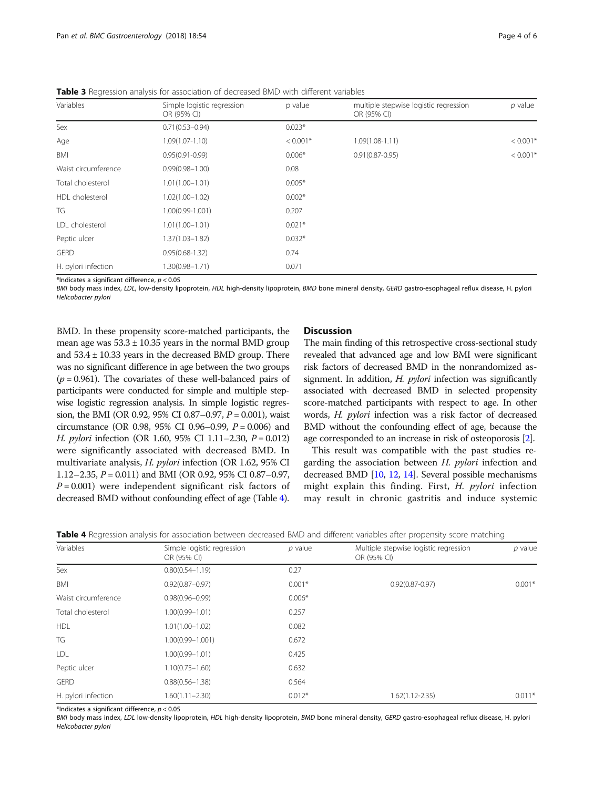| Variables           | Simple logistic regression<br>OR (95% CI) | p value    | multiple stepwise logistic regression<br>OR (95% CI) | $p$ value  |
|---------------------|-------------------------------------------|------------|------------------------------------------------------|------------|
| Sex                 | $0.71(0.53 - 0.94)$                       | $0.023*$   |                                                      |            |
| Age                 | $1.09(1.07 - 1.10)$                       | $< 0.001*$ | $1.09(1.08-1.11)$                                    | $< 0.001*$ |
| BMI                 | $0.95(0.91 - 0.99)$                       | $0.006*$   | $0.91(0.87 - 0.95)$                                  | $< 0.001*$ |
| Waist circumference | $0.99(0.98 - 1.00)$                       | 0.08       |                                                      |            |
| Total cholesterol   | $1.01(1.00 - 1.01)$                       | $0.005*$   |                                                      |            |
| HDL cholesterol     | $1.02(1.00 - 1.02)$                       | $0.002*$   |                                                      |            |
| TG                  | 1.00(0.99-1.001)                          | 0.207      |                                                      |            |
| LDL cholesterol     | $1.01(1.00 - 1.01)$                       | $0.021*$   |                                                      |            |
| Peptic ulcer        | $1.37(1.03 - 1.82)$                       | $0.032*$   |                                                      |            |
| <b>GERD</b>         | $0.95(0.68 - 1.32)$                       | 0.74       |                                                      |            |
| H. pylori infection | $1.30(0.98 - 1.71)$                       | 0.071      |                                                      |            |

<span id="page-3-0"></span>Table 3 Regression analysis for association of decreased BMD with different variables

\*Indicates a significant difference,  $p < 0.05$ 

BMI body mass index, LDL, low-density lipoprotein, HDL high-density lipoprotein, BMD bone mineral density, GERD gastro-esophageal reflux disease, H. pylori<br>Helicobacter pylori Helicobacter pylori

BMD. In these propensity score-matched participants, the mean age was  $53.3 \pm 10.35$  years in the normal BMD group and  $53.4 \pm 10.33$  years in the decreased BMD group. There was no significant difference in age between the two groups  $(p = 0.961)$ . The covariates of these well-balanced pairs of participants were conducted for simple and multiple stepwise logistic regression analysis. In simple logistic regression, the BMI (OR 0.92, 95% CI 0.87–0.97,  $P = 0.001$ ), waist circumstance (OR 0.98, 95% CI 0.96–0.99,  $P = 0.006$ ) and H. pylori infection (OR 1.60, 95% CI 1.11–2.30, P = 0.012) were significantly associated with decreased BMD. In multivariate analysis, H. pylori infection (OR 1.62, 95% CI 1.12–2.35, P = 0.011) and BMI (OR 0.92, 95% CI 0.87–0.97,  $P = 0.001$ ) were independent significant risk factors of decreased BMD without confounding effect of age (Table 4).

## **Discussion**

The main finding of this retrospective cross-sectional study revealed that advanced age and low BMI were significant risk factors of decreased BMD in the nonrandomized assignment. In addition,  $H.$  *pylori* infection was significantly associated with decreased BMD in selected propensity score-matched participants with respect to age. In other words, H. pylori infection was a risk factor of decreased BMD without the confounding effect of age, because the age corresponded to an increase in risk of osteoporosis [[2](#page-5-0)].

This result was compatible with the past studies regarding the association between  $H$ . pylori infection and decreased BMD [\[10,](#page-5-0) [12](#page-5-0), [14](#page-5-0)]. Several possible mechanisms might explain this finding. First, H. pylori infection may result in chronic gastritis and induce systemic

|  |  | Table 4 Regression analysis for association between decreased BMD and different variables after propensity score matching |  |  |  |  |
|--|--|---------------------------------------------------------------------------------------------------------------------------|--|--|--|--|
|  |  |                                                                                                                           |  |  |  |  |

|                     | $\epsilon$                                |           |                                                      | $\tilde{\phantom{a}}$ |
|---------------------|-------------------------------------------|-----------|------------------------------------------------------|-----------------------|
| Variables           | Simple logistic regression<br>OR (95% CI) | $p$ value | Multiple stepwise logistic regression<br>OR (95% CI) | $p$ value             |
| Sex                 | $0.80(0.54 - 1.19)$                       | 0.27      |                                                      |                       |
| <b>BMI</b>          | $0.92(0.87 - 0.97)$                       | $0.001*$  | $0.92(0.87 - 0.97)$                                  | $0.001*$              |
| Waist circumference | $0.98(0.96 - 0.99)$                       | $0.006*$  |                                                      |                       |
| Total cholesterol   | $1.00(0.99 - 1.01)$                       | 0.257     |                                                      |                       |
| <b>HDL</b>          | $1.01(1.00 - 1.02)$                       | 0.082     |                                                      |                       |
| TG                  | 1.00(0.99-1.001)                          | 0.672     |                                                      |                       |
| LDL                 | $1.00(0.99 - 1.01)$                       | 0.425     |                                                      |                       |
| Peptic ulcer        | $1.10(0.75 - 1.60)$                       | 0.632     |                                                      |                       |
| <b>GERD</b>         | $0.88(0.56 - 1.38)$                       | 0.564     |                                                      |                       |
| H. pylori infection | $1.60(1.11 - 2.30)$                       | $0.012*$  | $1.62(1.12 - 2.35)$                                  | $0.011*$              |
|                     |                                           |           |                                                      |                       |

\*Indicates a significant difference,  $p < 0.05$ 

BMI body mass index, LDL low-density lipoprotein, HDL high-density lipoprotein, BMD bone mineral density, GERD gastro-esophageal reflux disease, H. pylori Helicobacter pylori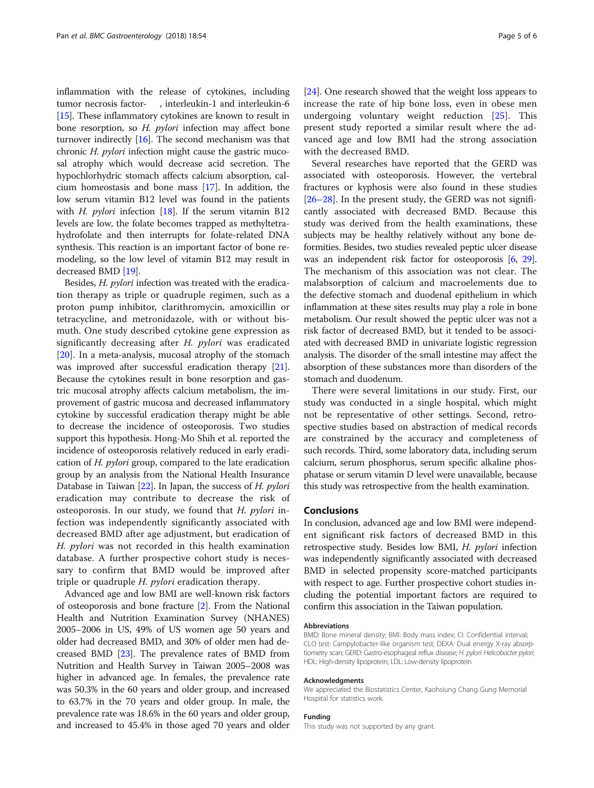inflammation with the release of cytokines, including tumor necrosis factor- , interleukin-1 and interleukin-6 [[15](#page-5-0)]. These inflammatory cytokines are known to result in bone resorption, so *H. pylori* infection may affect bone turnover indirectly [[16](#page-5-0)]. The second mechanism was that chronic H. pylori infection might cause the gastric mucosal atrophy which would decrease acid secretion. The hypochlorhydric stomach affects calcium absorption, calcium homeostasis and bone mass [[17](#page-5-0)]. In addition, the low serum vitamin B12 level was found in the patients with *H. pylori* infection  $[18]$ . If the serum vitamin B12 levels are low, the folate becomes trapped as methyltetrahydrofolate and then interrupts for folate-related DNA synthesis. This reaction is an important factor of bone remodeling, so the low level of vitamin B12 may result in decreased BMD [\[19\]](#page-5-0).

Besides, H. pylori infection was treated with the eradication therapy as triple or quadruple regimen, such as a proton pump inhibitor, clarithromycin, amoxicillin or tetracycline, and metronidazole, with or without bismuth. One study described cytokine gene expression as significantly decreasing after H. pylori was eradicated [[20\]](#page-5-0). In a meta-analysis, mucosal atrophy of the stomach was improved after successful eradication therapy [[21](#page-5-0)]. Because the cytokines result in bone resorption and gastric mucosal atrophy affects calcium metabolism, the improvement of gastric mucosa and decreased inflammatory cytokine by successful eradication therapy might be able to decrease the incidence of osteoporosis. Two studies support this hypothesis. Hong-Mo Shih et al. reported the incidence of osteoporosis relatively reduced in early eradication of H. pylori group, compared to the late eradication group by an analysis from the National Health Insurance Database in Taiwan  $[22]$ . In Japan, the success of H. pylori eradication may contribute to decrease the risk of osteoporosis. In our study, we found that  $H$ . pylori infection was independently significantly associated with decreased BMD after age adjustment, but eradication of H. pylori was not recorded in this health examination database. A further prospective cohort study is necessary to confirm that BMD would be improved after triple or quadruple *H. pylori* eradication therapy.

Advanced age and low BMI are well-known risk factors of osteoporosis and bone fracture [\[2\]](#page-5-0). From the National Health and Nutrition Examination Survey (NHANES) 2005–2006 in US, 49% of US women age 50 years and older had decreased BMD, and 30% of older men had decreased BMD [[23](#page-5-0)]. The prevalence rates of BMD from Nutrition and Health Survey in Taiwan 2005–2008 was higher in advanced age. In females, the prevalence rate was 50.3% in the 60 years and older group, and increased to 63.7% in the 70 years and older group. In male, the prevalence rate was 18.6% in the 60 years and older group, and increased to 45.4% in those aged 70 years and older

[[24](#page-5-0)]. One research showed that the weight loss appears to increase the rate of hip bone loss, even in obese men undergoing voluntary weight reduction [\[25](#page-5-0)]. This present study reported a similar result where the advanced age and low BMI had the strong association with the decreased BMD.

Several researches have reported that the GERD was associated with osteoporosis. However, the vertebral fractures or kyphosis were also found in these studies [[26](#page-5-0)–[28](#page-5-0)]. In the present study, the GERD was not significantly associated with decreased BMD. Because this study was derived from the health examinations, these subjects may be healthy relatively without any bone deformities. Besides, two studies revealed peptic ulcer disease was an independent risk factor for osteoporosis [\[6](#page-5-0), [29](#page-5-0)]. The mechanism of this association was not clear. The malabsorption of calcium and macroelements due to the defective stomach and duodenal epithelium in which inflammation at these sites results may play a role in bone metabolism. Our result showed the peptic ulcer was not a risk factor of decreased BMD, but it tended to be associated with decreased BMD in univariate logistic regression analysis. The disorder of the small intestine may affect the absorption of these substances more than disorders of the stomach and duodenum.

There were several limitations in our study. First, our study was conducted in a single hospital, which might not be representative of other settings. Second, retrospective studies based on abstraction of medical records are constrained by the accuracy and completeness of such records. Third, some laboratory data, including serum calcium, serum phosphorus, serum specific alkaline phosphatase or serum vitamin D level were unavailable, because this study was retrospective from the health examination.

## **Conclusions**

In conclusion, advanced age and low BMI were independent significant risk factors of decreased BMD in this retrospective study. Besides low BMI, H. pylori infection was independently significantly associated with decreased BMD in selected propensity score-matched participants with respect to age. Further prospective cohort studies including the potential important factors are required to confirm this association in the Taiwan population.

#### Abbreviations

BMD: Bone mineral density; BMI: Body mass index; CI: Confidential interval; CLO test: Campylobacter-like organism test; DEXA: Dual energy X-ray absorptiometry scan; GERD: Gastro-esophageal reflux disease; H. pylori: Helicobacter pylori; HDL: High-density lipoprotein; LDL: Low-density lipoprotein

#### Acknowledgments

We appreciated the Biostatistics Center, Kaohsiung Chang Gung Memorial Hospital for statistics work.

#### Funding

This study was not supported by any grant.